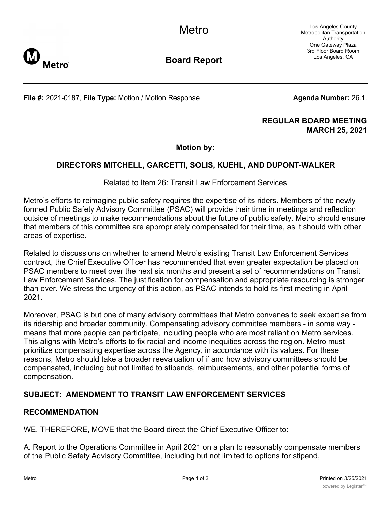Los Angeles County Metropolitan Transportation Authority One Gateway Plaza 3rd Floor Board Room Los Angeles, CA



**Board Report**

**File #:** 2021-0187, File Type: Motion / Motion Response **Agenda Number:** 26.1.

## **REGULAR BOARD MEETING MARCH 25, 2021**

**Motion by:**

## **DIRECTORS MITCHELL, GARCETTI, SOLIS, KUEHL, AND DUPONT-WALKER**

Related to Item 26: Transit Law Enforcement Services

Metro's efforts to reimagine public safety requires the expertise of its riders. Members of the newly formed Public Safety Advisory Committee (PSAC) will provide their time in meetings and reflection outside of meetings to make recommendations about the future of public safety. Metro should ensure that members of this committee are appropriately compensated for their time, as it should with other areas of expertise.

Related to discussions on whether to amend Metro's existing Transit Law Enforcement Services contract, the Chief Executive Officer has recommended that even greater expectation be placed on PSAC members to meet over the next six months and present a set of recommendations on Transit Law Enforcement Services. The justification for compensation and appropriate resourcing is stronger than ever. We stress the urgency of this action, as PSAC intends to hold its first meeting in April 2021.

Moreover, PSAC is but one of many advisory committees that Metro convenes to seek expertise from its ridership and broader community. Compensating advisory committee members - in some way means that more people can participate, including people who are most reliant on Metro services. This aligns with Metro's efforts to fix racial and income inequities across the region. Metro must prioritize compensating expertise across the Agency, in accordance with its values. For these reasons, Metro should take a broader reevaluation of if and how advisory committees should be compensated, including but not limited to stipends, reimbursements, and other potential forms of compensation.

## **SUBJECT: AMENDMENT TO TRANSIT LAW ENFORCEMENT SERVICES**

## **RECOMMENDATION**

WE, THEREFORE, MOVE that the Board direct the Chief Executive Officer to:

A. Report to the Operations Committee in April 2021 on a plan to reasonably compensate members of the Public Safety Advisory Committee, including but not limited to options for stipend,